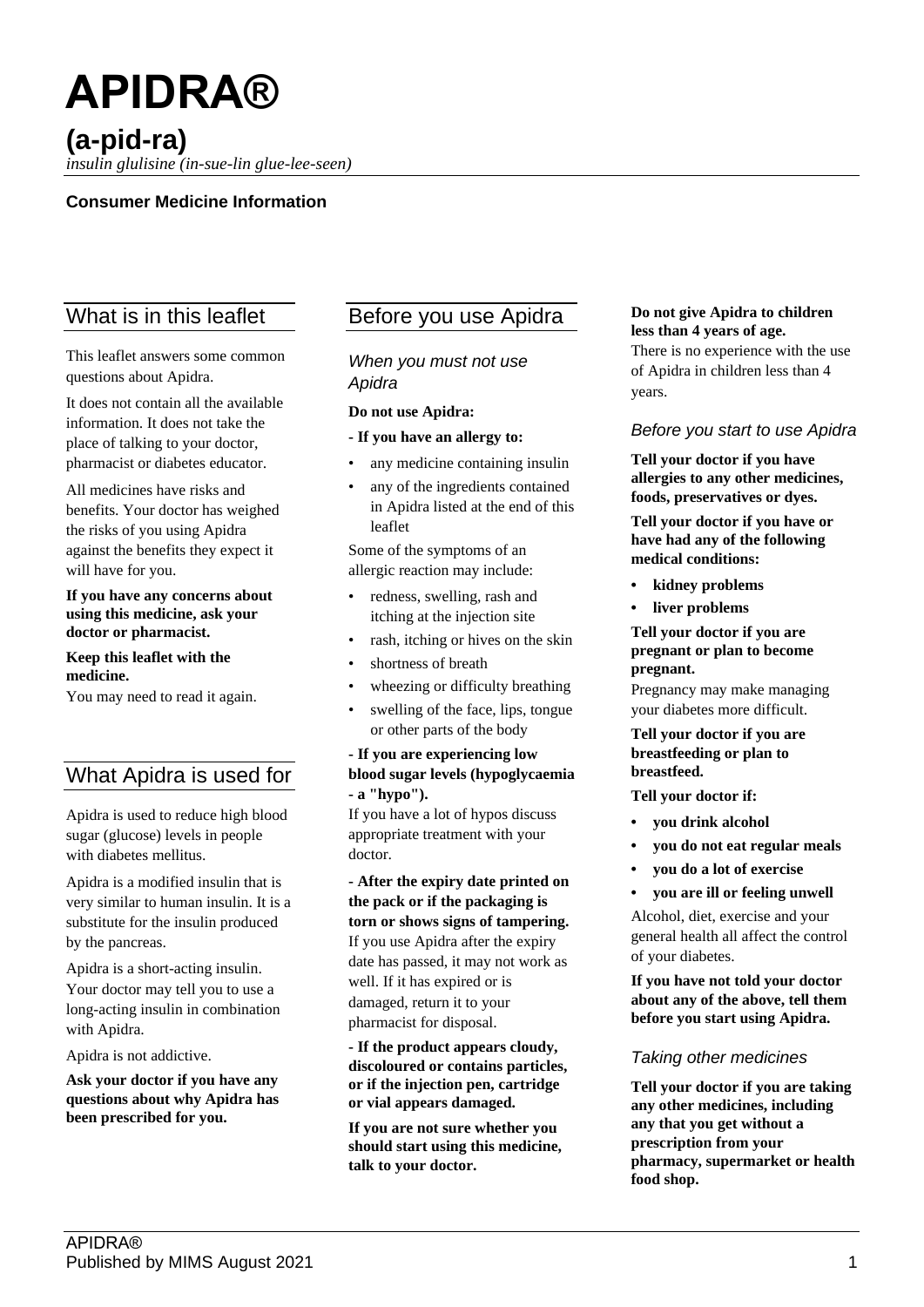# **APIDRA® (a-pid-ra)**

*insulin glulisine (in-sue-lin glue-lee-seen)*

## **Consumer Medicine Information**

# What is in this leaflet

This leaflet answers some common questions about Apidra.

It does not contain all the available information. It does not take the place of talking to your doctor, pharmacist or diabetes educator.

All medicines have risks and benefits. Your doctor has weighed the risks of you using Apidra against the benefits they expect it will have for you.

**If you have any concerns about using this medicine, ask your doctor or pharmacist.**

#### **Keep this leaflet with the medicine.**

You may need to read it again.

# What Apidra is used for

Apidra is used to reduce high blood sugar (glucose) levels in people with diabetes mellitus.

Apidra is a modified insulin that is very similar to human insulin. It is a substitute for the insulin produced by the pancreas.

Apidra is a short-acting insulin. Your doctor may tell you to use a long-acting insulin in combination with Apidra.

Apidra is not addictive.

**Ask your doctor if you have any questions about why Apidra has been prescribed for you.**

# Before you use Apidra

*When you must not use Apidra*

#### **Do not use Apidra:**

#### **- If you have an allergy to:**

- any medicine containing insulin
- any of the ingredients contained in Apidra listed at the end of this leaflet

Some of the symptoms of an allergic reaction may include:

- redness, swelling, rash and itching at the injection site
- rash, itching or hives on the skin
- shortness of breath
- wheezing or difficulty breathing
- swelling of the face, lips, tongue or other parts of the body

## **- If you are experiencing low blood sugar levels (hypoglycaemia - a "hypo").**

If you have a lot of hypos discuss appropriate treatment with your doctor.

**- After the expiry date printed on the pack or if the packaging is torn or shows signs of tampering.** If you use Apidra after the expiry date has passed, it may not work as well. If it has expired or is damaged, return it to your pharmacist for disposal.

**- If the product appears cloudy, discoloured or contains particles, or if the injection pen, cartridge or vial appears damaged.**

**If you are not sure whether you should start using this medicine, talk to your doctor.**

#### **Do not give Apidra to children less than 4 years of age.**

There is no experience with the use of Apidra in children less than 4 years.

### *Before you start to use Apidra*

**Tell your doctor if you have allergies to any other medicines, foods, preservatives or dyes.**

**Tell your doctor if you have or have had any of the following medical conditions:**

- **• kidney problems**
- **• liver problems**

**Tell your doctor if you are pregnant or plan to become pregnant.**

Pregnancy may make managing your diabetes more difficult.

**Tell your doctor if you are breastfeeding or plan to breastfeed.**

**Tell your doctor if:**

- **• you drink alcohol**
- **• you do not eat regular meals**
- **• you do a lot of exercise**
- **• you are ill or feeling unwell**

Alcohol, diet, exercise and your general health all affect the control of your diabetes.

**If you have not told your doctor about any of the above, tell them before you start using Apidra.**

## *Taking other medicines*

**Tell your doctor if you are taking any other medicines, including any that you get without a prescription from your pharmacy, supermarket or health food shop.**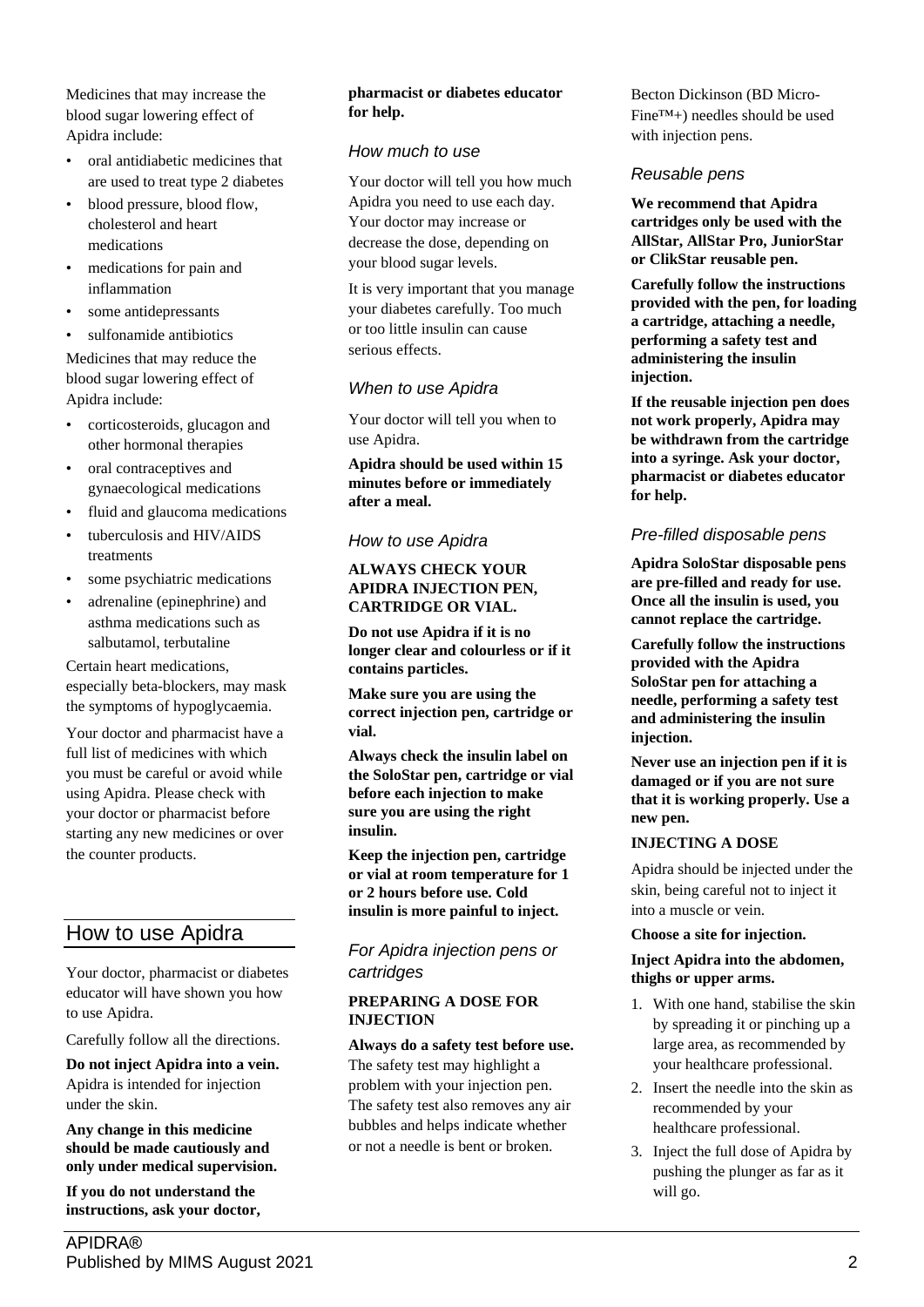Medicines that may increase the blood sugar lowering effect of Apidra include:

- oral antidiabetic medicines that are used to treat type 2 diabetes
- blood pressure, blood flow, cholesterol and heart medications
- medications for pain and inflammation
- some antidepressants
- sulfonamide antibiotics

Medicines that may reduce the blood sugar lowering effect of Apidra include:

- corticosteroids, glucagon and other hormonal therapies
- oral contraceptives and gynaecological medications
- fluid and glaucoma medications
- tuberculosis and HIV/AIDS treatments
- some psychiatric medications
- adrenaline (epinephrine) and asthma medications such as salbutamol, terbutaline

Certain heart medications, especially beta-blockers, may mask the symptoms of hypoglycaemia.

Your doctor and pharmacist have a full list of medicines with which you must be careful or avoid while using Apidra. Please check with your doctor or pharmacist before starting any new medicines or over the counter products.

# How to use Apidra

Your doctor, pharmacist or diabetes educator will have shown you how to use Apidra.

Carefully follow all the directions.

**Do not inject Apidra into a vein.** Apidra is intended for injection under the skin.

**Any change in this medicine should be made cautiously and only under medical supervision.**

**If you do not understand the instructions, ask your doctor,** 

## **pharmacist or diabetes educator for help.**

## *How much to use*

Your doctor will tell you how much Apidra you need to use each day. Your doctor may increase or decrease the dose, depending on your blood sugar levels.

It is very important that you manage your diabetes carefully. Too much or too little insulin can cause serious effects.

## *When to use Apidra*

Your doctor will tell you when to use Apidra.

**Apidra should be used within 15 minutes before or immediately after a meal.**

## *How to use Apidra*

## **ALWAYS CHECK YOUR APIDRA INJECTION PEN, CARTRIDGE OR VIAL.**

**Do not use Apidra if it is no longer clear and colourless or if it contains particles.**

**Make sure you are using the correct injection pen, cartridge or vial.**

**Always check the insulin label on the SoloStar pen, cartridge or vial before each injection to make sure you are using the right insulin.**

**Keep the injection pen, cartridge or vial at room temperature for 1 or 2 hours before use. Cold insulin is more painful to inject.**

## *For Apidra injection pens or cartridges*

## **PREPARING A DOSE FOR INJECTION**

## **Always do a safety test before use.**

The safety test may highlight a problem with your injection pen. The safety test also removes any air bubbles and helps indicate whether or not a needle is bent or broken.

Becton Dickinson (BD Micro-Fine™+) needles should be used with injection pens.

## *Reusable pens*

**We recommend that Apidra cartridges only be used with the AllStar, AllStar Pro, JuniorStar or ClikStar reusable pen.**

**Carefully follow the instructions provided with the pen, for loading a cartridge, attaching a needle, performing a safety test and administering the insulin injection.**

**If the reusable injection pen does not work properly, Apidra may be withdrawn from the cartridge into a syringe. Ask your doctor, pharmacist or diabetes educator for help.**

## *Pre-filled disposable pens*

**Apidra SoloStar disposable pens are pre-filled and ready for use. Once all the insulin is used, you cannot replace the cartridge.**

**Carefully follow the instructions provided with the Apidra SoloStar pen for attaching a needle, performing a safety test and administering the insulin injection.**

**Never use an injection pen if it is damaged or if you are not sure that it is working properly. Use a new pen.**

## **INJECTING A DOSE**

Apidra should be injected under the skin, being careful not to inject it into a muscle or vein.

## **Choose a site for injection.**

## **Inject Apidra into the abdomen, thighs or upper arms.**

- 1. With one hand, stabilise the skin by spreading it or pinching up a large area, as recommended by your healthcare professional.
- 2. Insert the needle into the skin as recommended by your healthcare professional.
- 3. Inject the full dose of Apidra by pushing the plunger as far as it will go.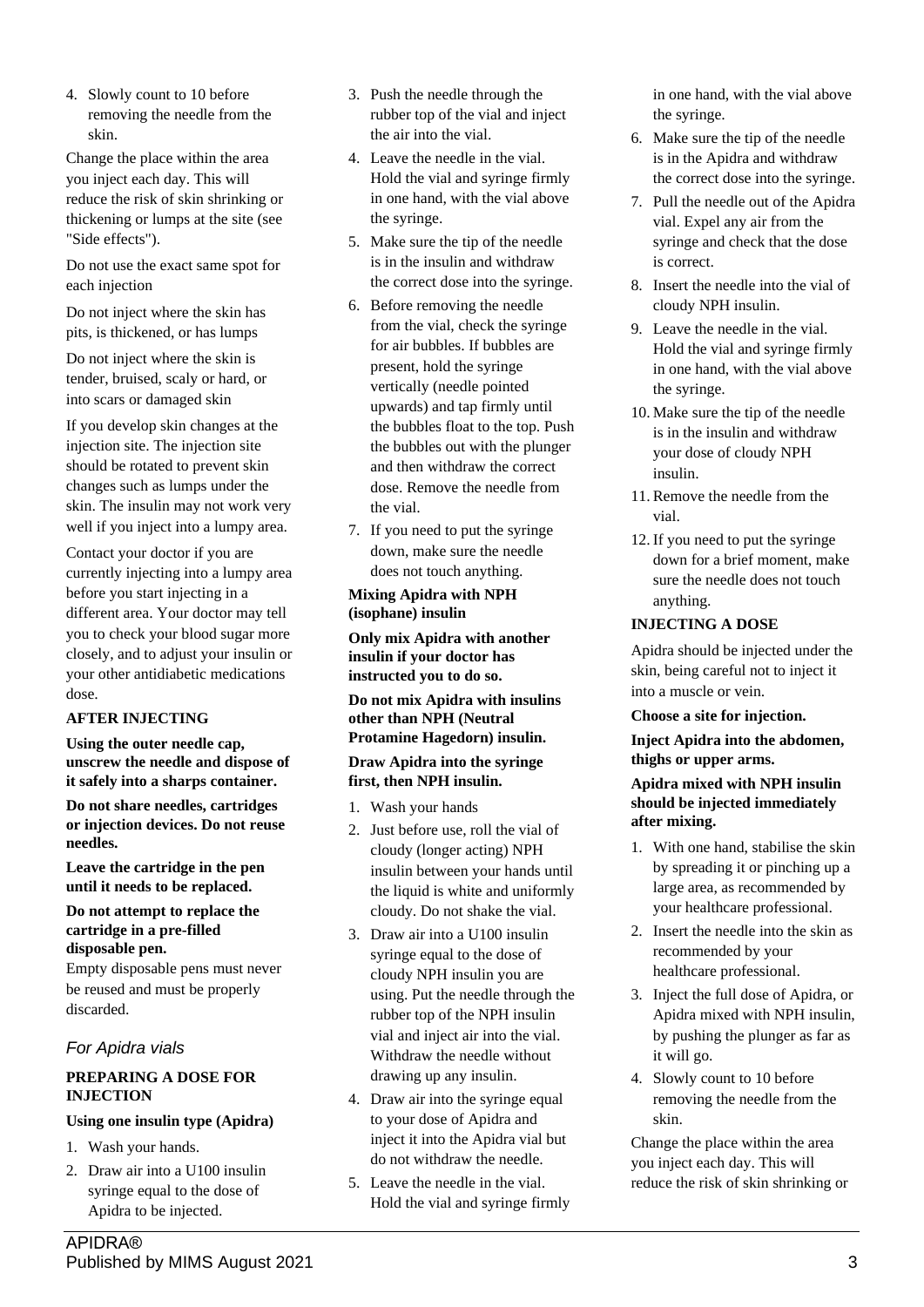4. Slowly count to 10 before removing the needle from the skin.

Change the place within the area you inject each day. This will reduce the risk of skin shrinking or thickening or lumps at the site (see "Side effects").

Do not use the exact same spot for each injection

Do not inject where the skin has pits, is thickened, or has lumps

Do not inject where the skin is tender, bruised, scaly or hard, or into scars or damaged skin

If you develop skin changes at the injection site. The injection site should be rotated to prevent skin changes such as lumps under the skin. The insulin may not work very well if you inject into a lumpy area.

Contact your doctor if you are currently injecting into a lumpy area before you start injecting in a different area. Your doctor may tell you to check your blood sugar more closely, and to adjust your insulin or your other antidiabetic medications dose.

## **AFTER INJECTING**

**Using the outer needle cap, unscrew the needle and dispose of it safely into a sharps container.**

**Do not share needles, cartridges or injection devices. Do not reuse needles.**

**Leave the cartridge in the pen until it needs to be replaced.**

## **Do not attempt to replace the cartridge in a pre-filled disposable pen.**

Empty disposable pens must never be reused and must be properly discarded.

## *For Apidra vials*

## **PREPARING A DOSE FOR INJECTION**

## **Using one insulin type (Apidra)**

- 1. Wash your hands.
- 2. Draw air into a U100 insulin syringe equal to the dose of Apidra to be injected.
- 3. Push the needle through the rubber top of the vial and inject the air into the vial.
- 4. Leave the needle in the vial. Hold the vial and syringe firmly in one hand, with the vial above the syringe.
- 5. Make sure the tip of the needle is in the insulin and withdraw the correct dose into the syringe.
- 6. Before removing the needle from the vial, check the syringe for air bubbles. If bubbles are present, hold the syringe vertically (needle pointed upwards) and tap firmly until the bubbles float to the top. Push the bubbles out with the plunger and then withdraw the correct dose. Remove the needle from the vial.
- 7. If you need to put the syringe down, make sure the needle does not touch anything.

## **Mixing Apidra with NPH (isophane) insulin**

**Only mix Apidra with another insulin if your doctor has instructed you to do so.**

**Do not mix Apidra with insulins other than NPH (Neutral Protamine Hagedorn) insulin.**

## **Draw Apidra into the syringe first, then NPH insulin.**

- 1. Wash your hands
- 2. Just before use, roll the vial of cloudy (longer acting) NPH insulin between your hands until the liquid is white and uniformly cloudy. Do not shake the vial.
- 3. Draw air into a U100 insulin syringe equal to the dose of cloudy NPH insulin you are using. Put the needle through the rubber top of the NPH insulin vial and inject air into the vial. Withdraw the needle without drawing up any insulin.
- 4. Draw air into the syringe equal to your dose of Apidra and inject it into the Apidra vial but do not withdraw the needle.
- 5. Leave the needle in the vial. Hold the vial and syringe firmly

in one hand, with the vial above the syringe.

- 6. Make sure the tip of the needle is in the Apidra and withdraw the correct dose into the syringe.
- 7. Pull the needle out of the Apidra vial. Expel any air from the syringe and check that the dose is correct.
- 8. Insert the needle into the vial of cloudy NPH insulin.
- 9. Leave the needle in the vial. Hold the vial and syringe firmly in one hand, with the vial above the syringe.
- 10. Make sure the tip of the needle is in the insulin and withdraw your dose of cloudy NPH insulin.
- 11. Remove the needle from the vial.
- 12. If you need to put the syringe down for a brief moment, make sure the needle does not touch anything.

## **INJECTING A DOSE**

Apidra should be injected under the skin, being careful not to inject it into a muscle or vein.

## **Choose a site for injection.**

### **Inject Apidra into the abdomen, thighs or upper arms.**

## **Apidra mixed with NPH insulin should be injected immediately after mixing.**

- 1. With one hand, stabilise the skin by spreading it or pinching up a large area, as recommended by your healthcare professional.
- 2. Insert the needle into the skin as recommended by your healthcare professional.
- 3. Inject the full dose of Apidra, or Apidra mixed with NPH insulin, by pushing the plunger as far as it will go.
- 4. Slowly count to 10 before removing the needle from the skin.

Change the place within the area you inject each day. This will reduce the risk of skin shrinking or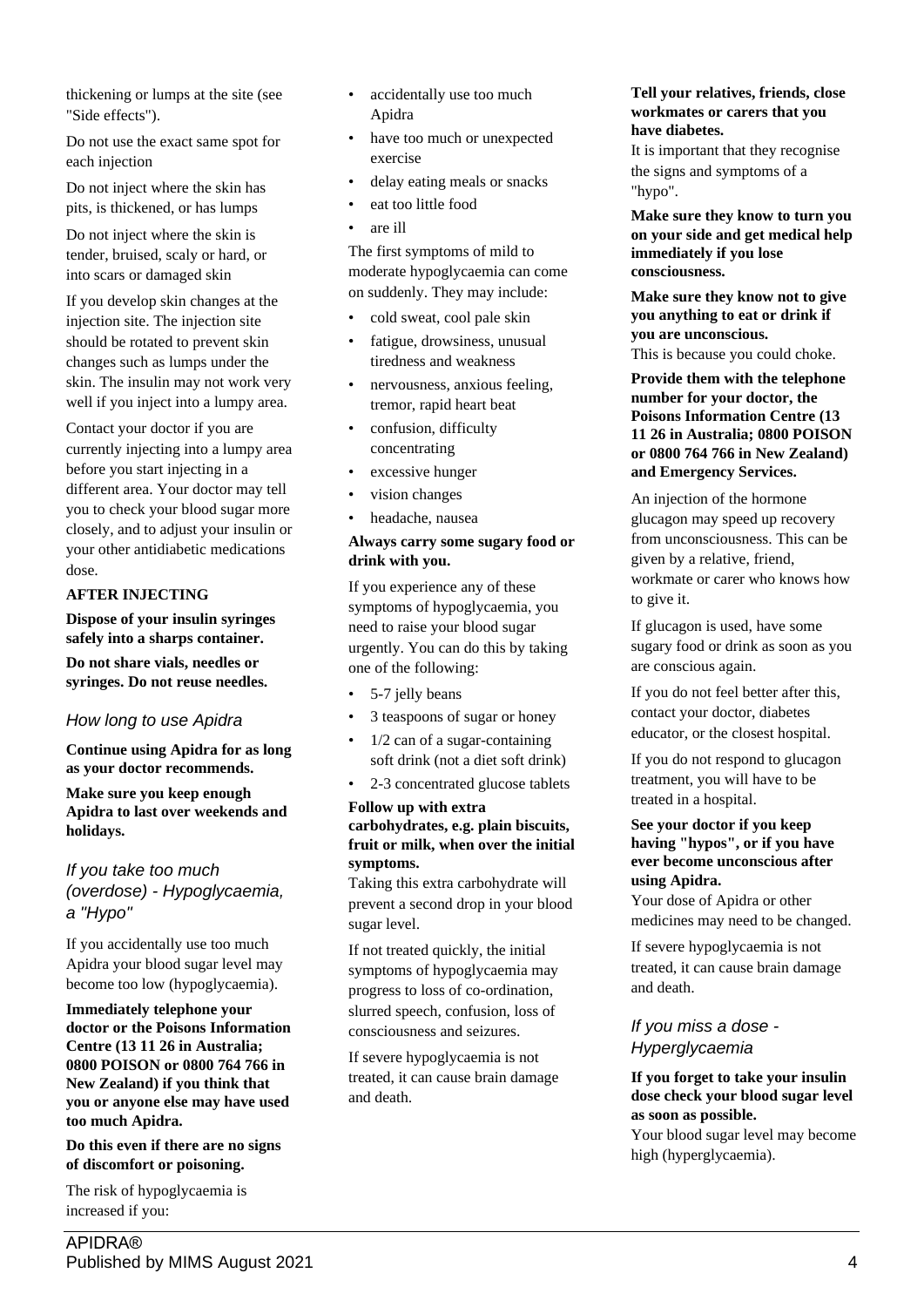thickening or lumps at the site (see "Side effects").

Do not use the exact same spot for each injection

Do not inject where the skin has pits, is thickened, or has lumps

Do not inject where the skin is tender, bruised, scaly or hard, or into scars or damaged skin

If you develop skin changes at the injection site. The injection site should be rotated to prevent skin changes such as lumps under the skin. The insulin may not work very well if you inject into a lumpy area.

Contact your doctor if you are currently injecting into a lumpy area before you start injecting in a different area. Your doctor may tell you to check your blood sugar more closely, and to adjust your insulin or your other antidiabetic medications dose.

## **AFTER INJECTING**

**Dispose of your insulin syringes safely into a sharps container.**

**Do not share vials, needles or syringes. Do not reuse needles.**

## *How long to use Apidra*

**Continue using Apidra for as long as your doctor recommends.**

**Make sure you keep enough Apidra to last over weekends and holidays.**

*If you take too much (overdose) - Hypoglycaemia, a "Hypo"*

If you accidentally use too much Apidra your blood sugar level may become too low (hypoglycaemia).

**Immediately telephone your doctor or the Poisons Information Centre (13 11 26 in Australia; 0800 POISON or 0800 764 766 in New Zealand) if you think that you or anyone else may have used too much Apidra.**

**Do this even if there are no signs of discomfort or poisoning.**

The risk of hypoglycaemia is increased if you:

- accidentally use too much Apidra
- have too much or unexpected exercise
- delay eating meals or snacks
- eat too little food
- are ill

The first symptoms of mild to moderate hypoglycaemia can come on suddenly. They may include:

- cold sweat, cool pale skin
- fatigue, drowsiness, unusual tiredness and weakness
- nervousness, anxious feeling, tremor, rapid heart beat
- confusion, difficulty concentrating
- excessive hunger
- vision changes
- headache, nausea

### **Always carry some sugary food or drink with you.**

If you experience any of these symptoms of hypoglycaemia, you need to raise your blood sugar urgently. You can do this by taking one of the following:

- 5-7 jelly beans
- 3 teaspoons of sugar or honey
- $1/2$  can of a sugar-containing soft drink (not a diet soft drink)
- 2-3 concentrated glucose tablets

## **Follow up with extra carbohydrates, e.g. plain biscuits, fruit or milk, when over the initial symptoms.**

Taking this extra carbohydrate will prevent a second drop in your blood sugar level.

If not treated quickly, the initial symptoms of hypoglycaemia may progress to loss of co-ordination, slurred speech, confusion, loss of consciousness and seizures.

If severe hypoglycaemia is not treated, it can cause brain damage and death.

### **Tell your relatives, friends, close workmates or carers that you have diabetes.**

It is important that they recognise the signs and symptoms of a "hypo".

**Make sure they know to turn you on your side and get medical help immediately if you lose consciousness.**

**Make sure they know not to give you anything to eat or drink if you are unconscious.** This is because you could choke.

**Provide them with the telephone number for your doctor, the Poisons Information Centre (13 11 26 in Australia; 0800 POISON or 0800 764 766 in New Zealand) and Emergency Services.**

An injection of the hormone glucagon may speed up recovery from unconsciousness. This can be given by a relative, friend, workmate or carer who knows how to give it.

If glucagon is used, have some sugary food or drink as soon as you are conscious again.

If you do not feel better after this, contact your doctor, diabetes educator, or the closest hospital.

If you do not respond to glucagon treatment, you will have to be treated in a hospital.

## **See your doctor if you keep having "hypos", or if you have ever become unconscious after using Apidra.**

Your dose of Apidra or other medicines may need to be changed.

If severe hypoglycaemia is not treated, it can cause brain damage and death.

## *If you miss a dose - Hyperglycaemia*

## **If you forget to take your insulin dose check your blood sugar level as soon as possible.**

Your blood sugar level may become high (hyperglycaemia).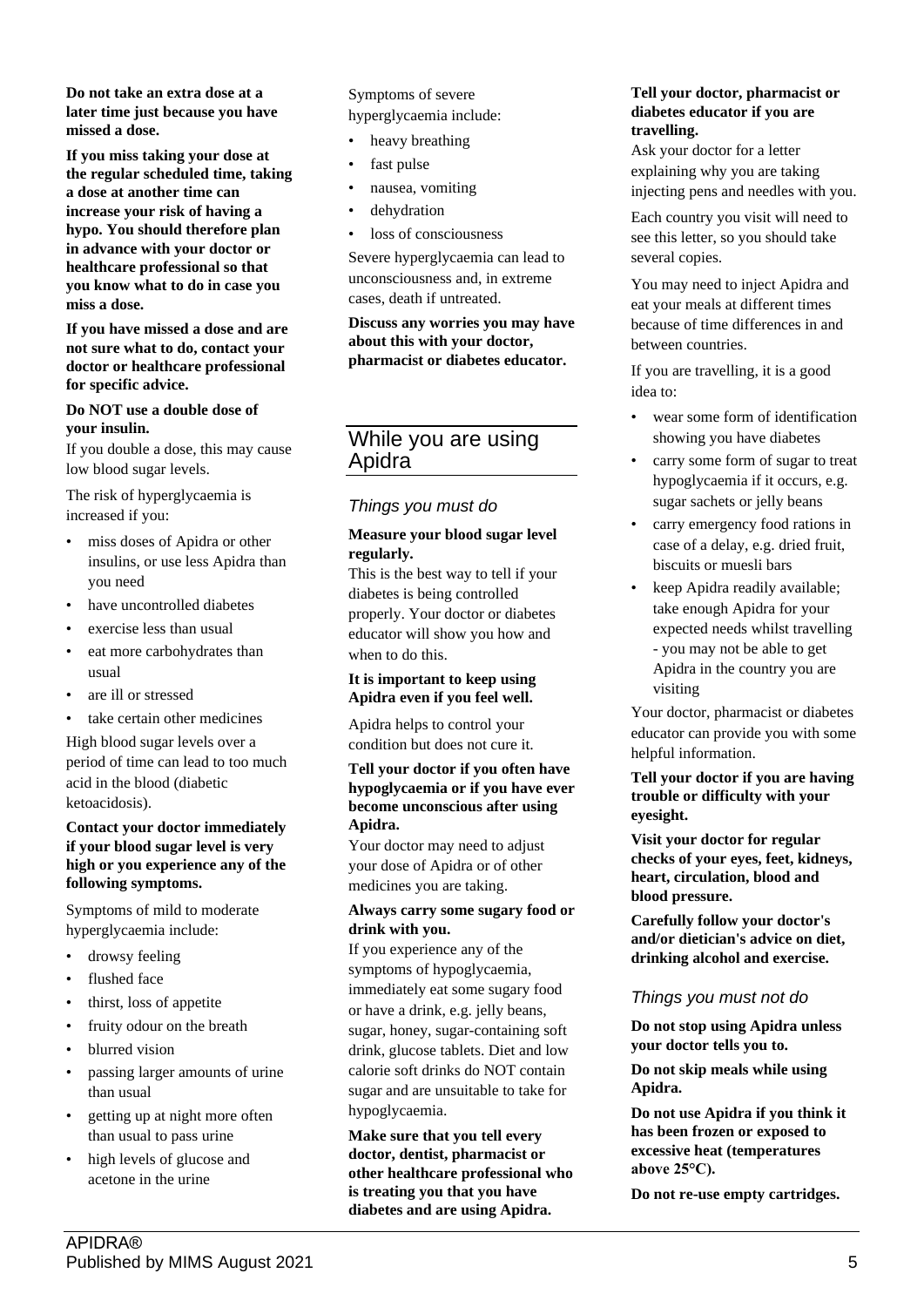**Do not take an extra dose at a later time just because you have missed a dose.**

**If you miss taking your dose at the regular scheduled time, taking a dose at another time can increase your risk of having a hypo. You should therefore plan in advance with your doctor or healthcare professional so that you know what to do in case you miss a dose.**

**If you have missed a dose and are not sure what to do, contact your doctor or healthcare professional for specific advice.**

#### **Do NOT use a double dose of your insulin.**

If you double a dose, this may cause low blood sugar levels.

The risk of hyperglycaemia is increased if you:

- miss doses of Apidra or other insulins, or use less Apidra than you need
- have uncontrolled diabetes
- exercise less than usual
- eat more carbohydrates than usual
- are ill or stressed
- take certain other medicines

High blood sugar levels over a period of time can lead to too much acid in the blood (diabetic ketoacidosis).

#### **Contact your doctor immediately if your blood sugar level is very high or you experience any of the following symptoms.**

Symptoms of mild to moderate hyperglycaemia include:

- drowsy feeling
- flushed face
- thirst, loss of appetite
- fruity odour on the breath
- blurred vision
- passing larger amounts of urine than usual
- getting up at night more often than usual to pass urine
- high levels of glucose and acetone in the urine

Symptoms of severe hyperglycaemia include:

- heavy breathing
- fast pulse
- nausea, vomiting
- dehydration
- loss of consciousness

Severe hyperglycaemia can lead to unconsciousness and, in extreme cases, death if untreated.

**Discuss any worries you may have about this with your doctor, pharmacist or diabetes educator.**

# While you are using Apidra

## *Things you must do*

### **Measure your blood sugar level regularly.**

This is the best way to tell if your diabetes is being controlled properly. Your doctor or diabetes educator will show you how and when to do this.

## **It is important to keep using Apidra even if you feel well.**

Apidra helps to control your condition but does not cure it.

#### **Tell your doctor if you often have hypoglycaemia or if you have ever become unconscious after using Apidra.**

Your doctor may need to adjust your dose of Apidra or of other medicines you are taking.

### **Always carry some sugary food or drink with you.**

If you experience any of the symptoms of hypoglycaemia, immediately eat some sugary food or have a drink, e.g. jelly beans, sugar, honey, sugar-containing soft drink, glucose tablets. Diet and low calorie soft drinks do NOT contain sugar and are unsuitable to take for hypoglycaemia.

**Make sure that you tell every doctor, dentist, pharmacist or other healthcare professional who is treating you that you have diabetes and are using Apidra.**

#### **Tell your doctor, pharmacist or diabetes educator if you are travelling.**

Ask your doctor for a letter explaining why you are taking injecting pens and needles with you.

Each country you visit will need to see this letter, so you should take several copies.

You may need to inject Apidra and eat your meals at different times because of time differences in and between countries.

If you are travelling, it is a good idea to:

- wear some form of identification showing you have diabetes
- carry some form of sugar to treat hypoglycaemia if it occurs, e.g. sugar sachets or jelly beans
- carry emergency food rations in case of a delay, e.g. dried fruit, biscuits or muesli bars
- keep Apidra readily available; take enough Apidra for your expected needs whilst travelling - you may not be able to get Apidra in the country you are visiting

Your doctor, pharmacist or diabetes educator can provide you with some helpful information.

## **Tell your doctor if you are having trouble or difficulty with your eyesight.**

**Visit your doctor for regular checks of your eyes, feet, kidneys, heart, circulation, blood and blood pressure.**

**Carefully follow your doctor's and/or dietician's advice on diet, drinking alcohol and exercise.**

## *Things you must not do*

**Do not stop using Apidra unless your doctor tells you to.**

**Do not skip meals while using Apidra.**

**Do not use Apidra if you think it has been frozen or exposed to excessive heat (temperatures above 25°C).**

**Do not re-use empty cartridges.**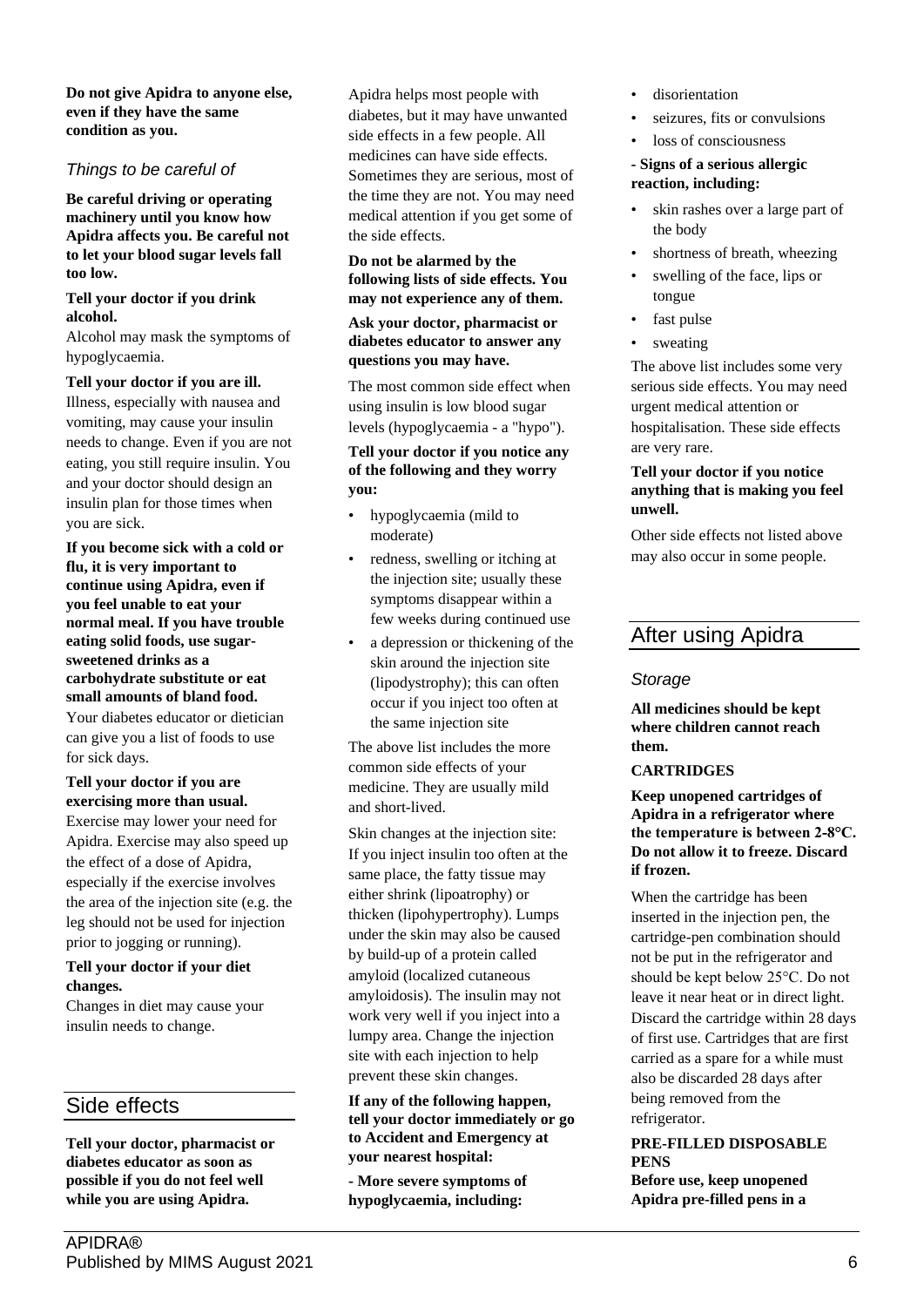**Do not give Apidra to anyone else, even if they have the same condition as you.**

## *Things to be careful of*

**Be careful driving or operating machinery until you know how Apidra affects you. Be careful not to let your blood sugar levels fall too low.**

#### **Tell your doctor if you drink alcohol.**

Alcohol may mask the symptoms of hypoglycaemia.

## **Tell your doctor if you are ill.**

Illness, especially with nausea and vomiting, may cause your insulin needs to change. Even if you are not eating, you still require insulin. You and your doctor should design an insulin plan for those times when you are sick.

**If you become sick with a cold or flu, it is very important to continue using Apidra, even if you feel unable to eat your normal meal. If you have trouble eating solid foods, use sugarsweetened drinks as a carbohydrate substitute or eat small amounts of bland food.**

Your diabetes educator or dietician can give you a list of foods to use for sick days.

## **Tell your doctor if you are exercising more than usual.**

Exercise may lower your need for Apidra. Exercise may also speed up the effect of a dose of Apidra, especially if the exercise involves the area of the injection site (e.g. the leg should not be used for injection prior to jogging or running).

## **Tell your doctor if your diet changes.**

Changes in diet may cause your insulin needs to change.

# Side effects

**Tell your doctor, pharmacist or diabetes educator as soon as possible if you do not feel well while you are using Apidra.**

Apidra helps most people with diabetes, but it may have unwanted side effects in a few people. All medicines can have side effects. Sometimes they are serious, most of the time they are not. You may need medical attention if you get some of the side effects.

#### **Do not be alarmed by the following lists of side effects. You may not experience any of them.**

### **Ask your doctor, pharmacist or diabetes educator to answer any questions you may have.**

The most common side effect when using insulin is low blood sugar levels (hypoglycaemia - a "hypo").

## **Tell your doctor if you notice any of the following and they worry you:**

- hypoglycaemia (mild to moderate)
- redness, swelling or itching at the injection site; usually these symptoms disappear within a few weeks during continued use
- a depression or thickening of the skin around the injection site (lipodystrophy); this can often occur if you inject too often at the same injection site

The above list includes the more common side effects of your medicine. They are usually mild and short-lived.

Skin changes at the injection site: If you inject insulin too often at the same place, the fatty tissue may either shrink (lipoatrophy) or thicken (lipohypertrophy). Lumps under the skin may also be caused by build-up of a protein called amyloid (localized cutaneous amyloidosis). The insulin may not work very well if you inject into a lumpy area. Change the injection site with each injection to help prevent these skin changes.

**If any of the following happen, tell your doctor immediately or go to Accident and Emergency at your nearest hospital:**

**- More severe symptoms of hypoglycaemia, including:**

- disorientation
- seizures, fits or convulsions
- loss of consciousness

### **- Signs of a serious allergic reaction, including:**

- skin rashes over a large part of the body
- shortness of breath, wheezing
- swelling of the face, lips or tongue
- fast pulse
- sweating

The above list includes some very serious side effects. You may need urgent medical attention or hospitalisation. These side effects are very rare.

### **Tell your doctor if you notice anything that is making you feel unwell.**

Other side effects not listed above may also occur in some people.

# After using Apidra

## *Storage*

**All medicines should be kept where children cannot reach them.**

## **CARTRIDGES**

**Keep unopened cartridges of Apidra in a refrigerator where the temperature is between 2-8°C. Do not allow it to freeze. Discard if frozen.**

When the cartridge has been inserted in the injection pen, the cartridge-pen combination should not be put in the refrigerator and should be kept below 25°C. Do not leave it near heat or in direct light. Discard the cartridge within 28 days of first use. Cartridges that are first carried as a spare for a while must also be discarded 28 days after being removed from the refrigerator.

## **PRE-FILLED DISPOSABLE PENS**

**Before use, keep unopened Apidra pre-filled pens in a**